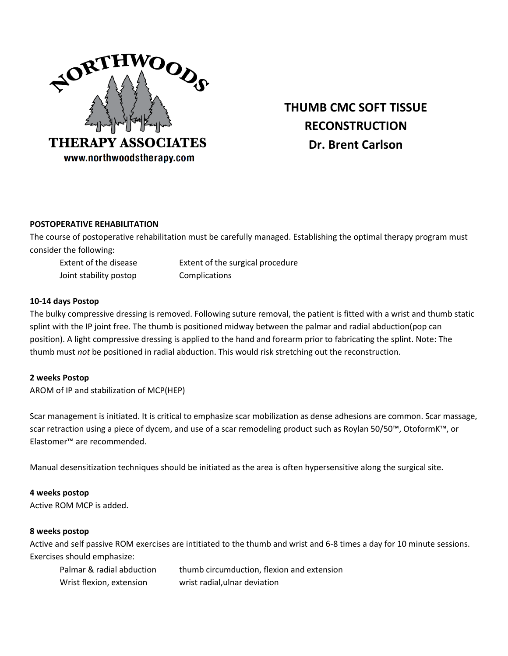

# **THUMB CMC SOFT TISSUE RECONSTRUCTION Dr. Brent Carlson**

## **POSTOPERATIVE REHABILITATION**

The course of postoperative rehabilitation must be carefully managed. Establishing the optimal therapy program must consider the following:

Extent of the disease Extent of the surgical procedure Joint stability postop Complications

## **10-14 days Postop**

The bulky compressive dressing is removed. Following suture removal, the patient is fitted with a wrist and thumb static splint with the IP joint free. The thumb is positioned midway between the palmar and radial abduction(pop can position). A light compressive dressing is applied to the hand and forearm prior to fabricating the splint. Note: The thumb must *not* be positioned in radial abduction. This would risk stretching out the reconstruction.

## **2 weeks Postop**

AROM of IP and stabilization of MCP(HEP)

Scar management is initiated. It is critical to emphasize scar mobilization as dense adhesions are common. Scar massage, scar retraction using a piece of dycem, and use of a scar remodeling product such as Roylan 50/50™, OtoformK™, or Elastomer™ are recommended.

Manual desensitization techniques should be initiated as the area is often hypersensitive along the surgical site.

## **4 weeks postop**

Active ROM MCP is added.

## **8 weeks postop**

Active and self passive ROM exercises are intitiated to the thumb and wrist and 6-8 times a day for 10 minute sessions. Exercises should emphasize:

| Palmar & radial abduction | thumb circumduction, flexion and extension |
|---------------------------|--------------------------------------------|
| Wrist flexion, extension  | wrist radial, ulnar deviation              |